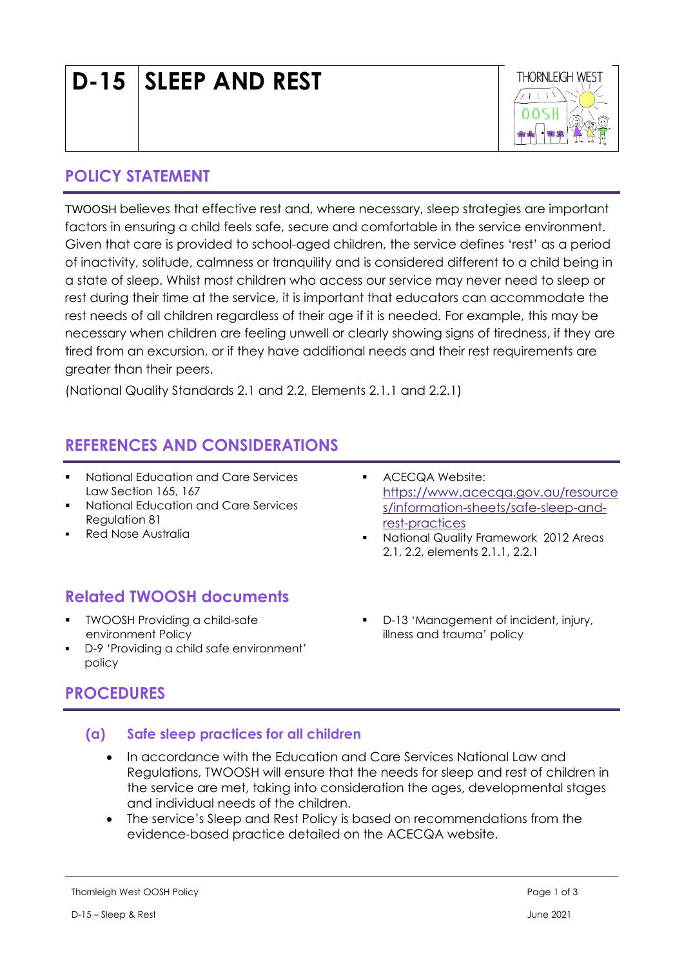# (National Quality Standards 2.1 and 2.2, Elements 2.1.1 and 2.2.1)

# **REFERENCES AND CONSIDERATIONS**

- **National Education and Care Services** Law Section 165, 167
- National Education and Care Services Regulation 81
- **Red Nose Australia**

# **Related TWOOSH documents**

- TWOOSH Providing a child-safe environment Policy
- D-9 'Providing a child safe environment' policy

# **PROCEDURES**

## **(a) Safe sleep practices for all children**

- In accordance with the Education and Care Services National Law and Regulations, TWOOSH will ensure that the needs for sleep and rest of children in the service are met, taking into consideration the ages, developmental stages and individual needs of the children.
- The service's Sleep and Rest Policy is based on recommendations from the evidence-based practice detailed on the ACECQA website.

■ ACECQA Website: [https://www.acecqa.gov.au/resource](https://www.acecqa.gov.au/resources/information-sheets/safe-sleep-and-rest-practices) [s/information-sheets/safe-sleep-and](https://www.acecqa.gov.au/resources/information-sheets/safe-sleep-and-rest-practices)[rest-practices](https://www.acecqa.gov.au/resources/information-sheets/safe-sleep-and-rest-practices)

- National Quality Framework 2012 Areas 2.1, 2.2, elements 2.1.1, 2.2.1
- D-13 'Management of incident, injury, illness and trauma' policy

**POLICY STATEMENT**

TWOOSH believes that effective rest and, where necessary, sleep strategies are important factors in ensuring a child feels safe, secure and comfortable in the service environment. Given that care is provided to school-aged children, the service defines 'rest' as a period of inactivity, solitude, calmness or tranquility and is considered different to a child being in a state of sleep. Whilst most children who access our service may never need to sleep or rest during their time at the service, it is important that educators can accommodate the rest needs of all children regardless of their age if it is needed. For example, this may be necessary when children are feeling unwell or clearly showing signs of tiredness, if they are tired from an excursion, or if they have additional needs and their rest requirements are greater than their peers.

**D-15 SLEEP AND REST**

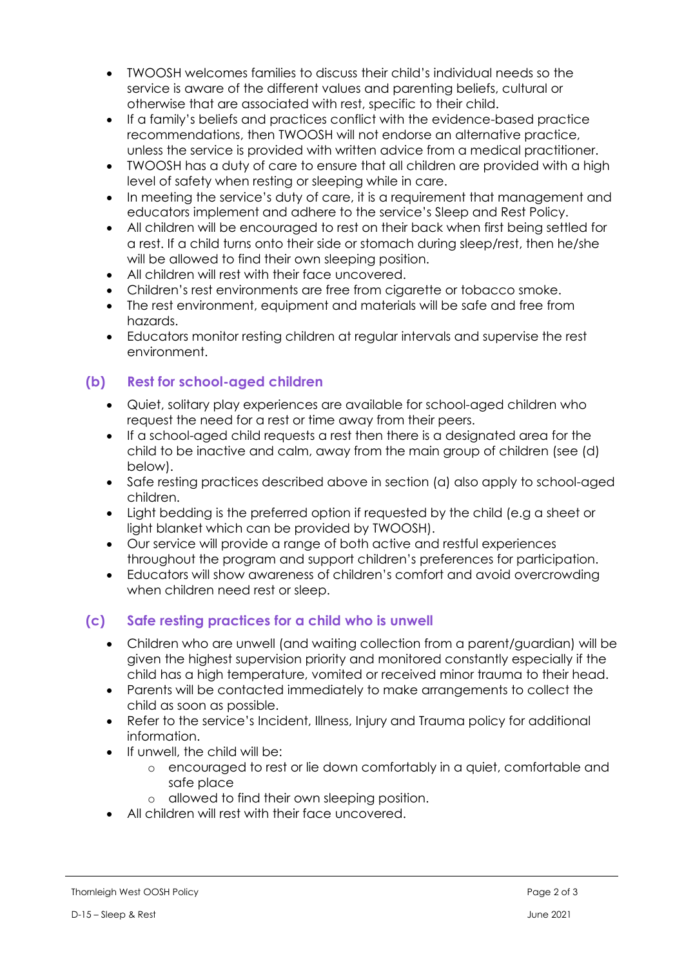- TWOOSH welcomes families to discuss their child's individual needs so the service is aware of the different values and parenting beliefs, cultural or otherwise that are associated with rest, specific to their child.
- If a family's beliefs and practices conflict with the evidence-based practice recommendations, then TWOOSH will not endorse an alternative practice, unless the service is provided with written advice from a medical practitioner.
- TWOOSH has a duty of care to ensure that all children are provided with a high level of safety when resting or sleeping while in care.
- In meeting the service's duty of care, it is a requirement that management and educators implement and adhere to the service's Sleep and Rest Policy.
- All children will be encouraged to rest on their back when first being settled for a rest. If a child turns onto their side or stomach during sleep/rest, then he/she will be allowed to find their own sleeping position.
- All children will rest with their face uncovered.
- Children's rest environments are free from cigarette or tobacco smoke.
- The rest environment, equipment and materials will be safe and free from hazards.
- Educators monitor resting children at regular intervals and supervise the rest environment.

## **(b) Rest for school-aged children**

- Quiet, solitary play experiences are available for school-aged children who request the need for a rest or time away from their peers.
- If a school-aged child requests a rest then there is a designated area for the child to be inactive and calm, away from the main group of children (see (d) below).
- Safe resting practices described above in section (a) also apply to school-aged children.
- Light bedding is the preferred option if requested by the child (e.g a sheet or light blanket which can be provided by TWOOSH).
- Our service will provide a range of both active and restful experiences throughout the program and support children's preferences for participation.
- Educators will show awareness of children's comfort and avoid overcrowding when children need rest or sleep.

### **(c) Safe resting practices for a child who is unwell**

- Children who are unwell (and waiting collection from a parent/guardian) will be given the highest supervision priority and monitored constantly especially if the child has a high temperature, vomited or received minor trauma to their head.
- Parents will be contacted immediately to make arrangements to collect the child as soon as possible.
- Refer to the service's Incident, Illness, Injury and Trauma policy for additional information.
- If unwell, the child will be:
	- o encouraged to rest or lie down comfortably in a quiet, comfortable and safe place
	- o allowed to find their own sleeping position.
- All children will rest with their face uncovered.